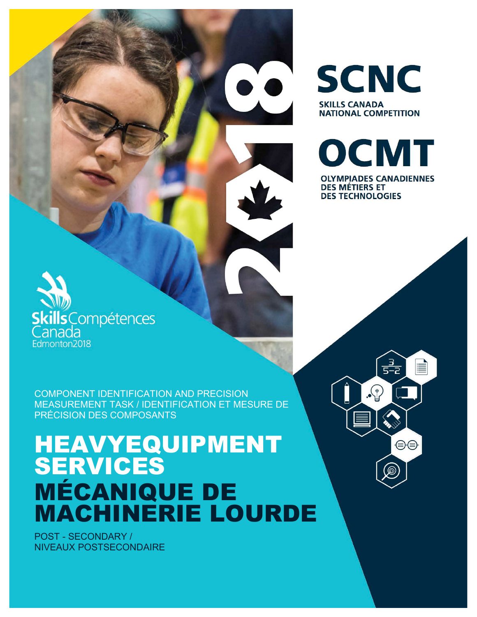COMPONENT IDENTIFICATION AND PRECISION MEASUREMENT TASK / IDENTIFICATION ET MESURE DE PRÉCISION DES COMPOSANTS

# HEAVYEQUIPMENT SERVICES MÉCANIQUE DE MACHINERIE LOURDE

POST - SECONDARY / NIVEAUX POSTSECONDAIRE

**Skills** Compétences

anada Edmonton2018



⊜⊜

**SCNC SKILLS CANADA NATIONAL COMPETITION** 

OCMT

**OLYMPIADES CANADIENNES** 

**DES MÉTIERS ET DES TECHNOLOGIES**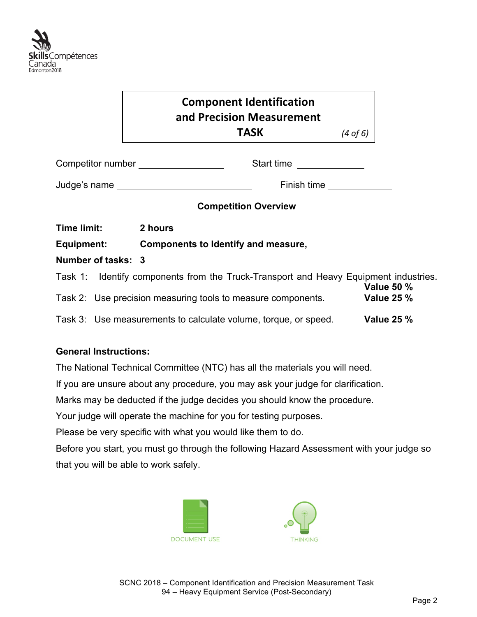

## **Component Identification and Precision Measurement TASK**  *(4 of 6)*

| Competitor number | Start time  |
|-------------------|-------------|
| Judge's name      | Finish time |

#### **Competition Overview**

| <b>Time limit:</b> | 2 hours                             |
|--------------------|-------------------------------------|
| Equipment:         | Components to Identify and measure, |
| Number of tasks: 3 |                                     |

| Task 1: | Identify components from the Truck-Transport and Heavy Equipment industries. |                                        |
|---------|------------------------------------------------------------------------------|----------------------------------------|
|         | Task 2: Use precision measuring tools to measure components.                 | <b>Value 50 %</b><br><b>Value 25 %</b> |
|         | Task 3: Use measurements to calculate volume, torque, or speed.              | <b>Value 25 %</b>                      |

### **General Instructions:**

The National Technical Committee (NTC) has all the materials you will need.

If you are unsure about any procedure, you may ask your judge for clarification.

Marks may be deducted if the judge decides you should know the procedure.

Your judge will operate the machine for you for testing purposes.

Please be very specific with what you would like them to do.

Before you start, you must go through the following Hazard Assessment with your judge so that you will be able to work safely.



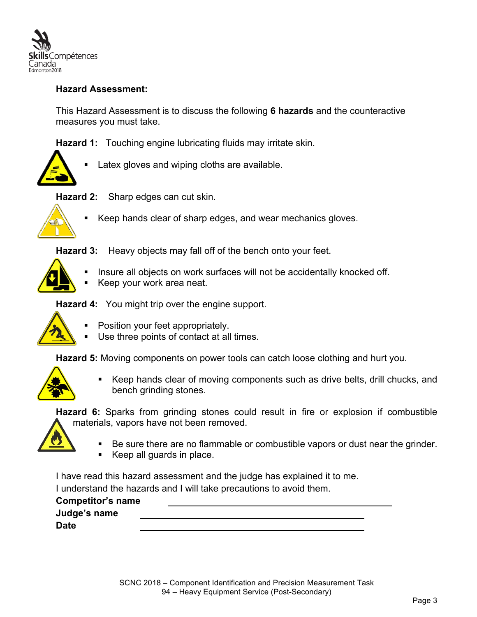

#### **Hazard Assessment:**

This Hazard Assessment is to discuss the following **6 hazards** and the counteractive measures you must take.

**Hazard 1:** Touching engine lubricating fluids may irritate skin.



Latex gloves and wiping cloths are available.

**Hazard 2:** Sharp edges can cut skin.



Keep hands clear of sharp edges, and wear mechanics gloves.

**Hazard 3:** Heavy objects may fall off of the bench onto your feet.



- Insure all objects on work surfaces will not be accidentally knocked off.
- § Keep your work area neat.

**Hazard 4:** You might trip over the engine support.



- § Position your feet appropriately.
- Use three points of contact at all times.

**Hazard 5:** Moving components on power tools can catch loose clothing and hurt you.



§ Keep hands clear of moving components such as drive belts, drill chucks, and bench grinding stones.

**Hazard 6:** Sparks from grinding stones could result in fire or explosion if combustible materials, vapors have not been removed.

- § Be sure there are no flammable or combustible vapors or dust near the grinder.
- § Keep all guards in place.

I have read this hazard assessment and the judge has explained it to me. I understand the hazards and I will take precautions to avoid them.

**Competitor's name Judge's name Date**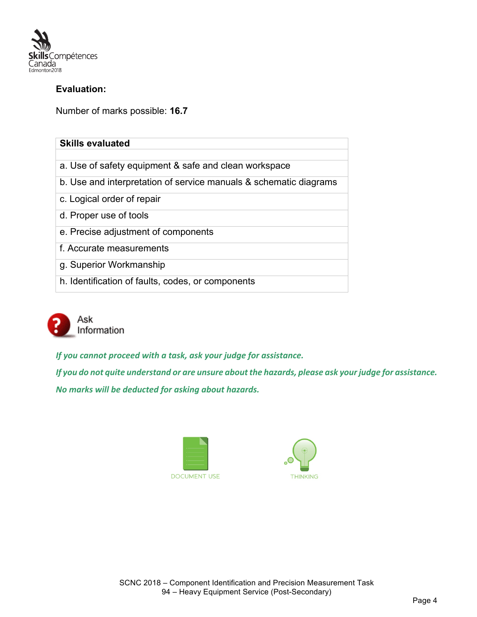

#### **Evaluation:**

Number of marks possible: **16.7**

| <b>Skills evaluated</b>                                           |
|-------------------------------------------------------------------|
|                                                                   |
| a. Use of safety equipment & safe and clean workspace             |
| b. Use and interpretation of service manuals & schematic diagrams |
| c. Logical order of repair                                        |
| d. Proper use of tools                                            |
| e. Precise adjustment of components                               |
| f. Accurate measurements                                          |
| g. Superior Workmanship                                           |
| h. Identification of faults, codes, or components                 |



*If you cannot proceed with a task, ask your judge for assistance.* 

*If you do not quite understand or are unsure about the hazards, please ask your judge for assistance. No marks will be deducted for asking about hazards.* 



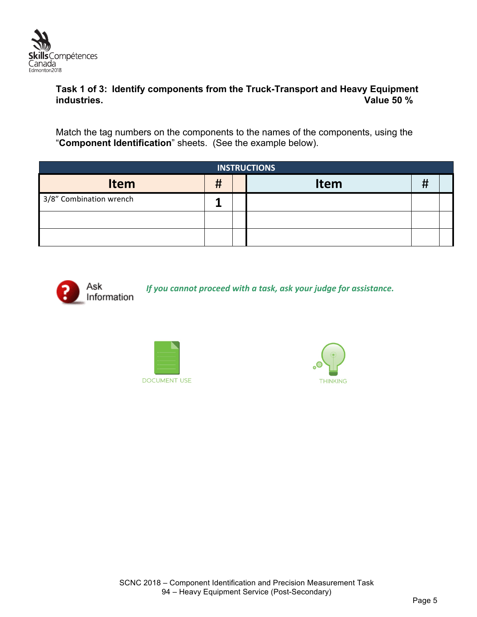

#### **Task 1 of 3: Identify components from the Truck-Transport and Heavy Equipment industries. Value 50 %**

Match the tag numbers on the components to the names of the components, using the "**Component Identification**" sheets. (See the example below).

| <b>INSTRUCTIONS</b>     |   |  |             |   |  |
|-------------------------|---|--|-------------|---|--|
| <b>Item</b>             | Ħ |  | <b>Item</b> | # |  |
| 3/8" Combination wrench |   |  |             |   |  |
|                         |   |  |             |   |  |
|                         |   |  |             |   |  |



*If you cannot proceed with a task, ask your judge for assistance.* 



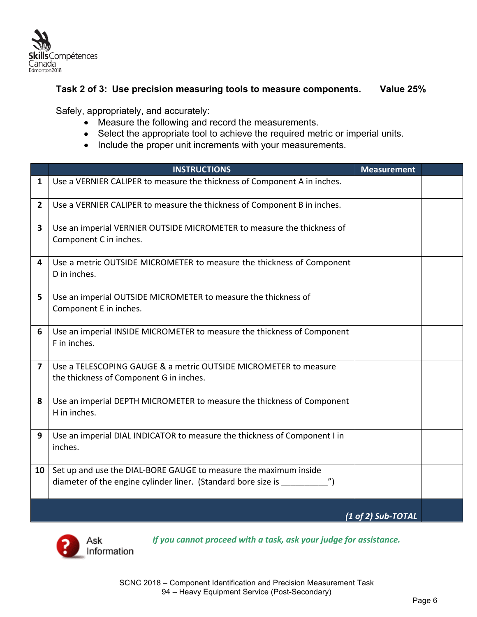

#### **Task 2 of 3: Use precision measuring tools to measure components. Value 25%**

Safely, appropriately, and accurately:

- Measure the following and record the measurements.
- Select the appropriate tool to achieve the required metric or imperial units.
- Include the proper unit increments with your measurements.

|                | <b>INSTRUCTIONS</b>                                                                                                               | <b>Measurement</b> |  |
|----------------|-----------------------------------------------------------------------------------------------------------------------------------|--------------------|--|
| 1              | Use a VERNIER CALIPER to measure the thickness of Component A in inches.                                                          |                    |  |
| $\overline{2}$ | Use a VERNIER CALIPER to measure the thickness of Component B in inches.                                                          |                    |  |
| 3              | Use an imperial VERNIER OUTSIDE MICROMETER to measure the thickness of<br>Component C in inches.                                  |                    |  |
| 4              | Use a metric OUTSIDE MICROMETER to measure the thickness of Component<br>D in inches.                                             |                    |  |
| 5              | Use an imperial OUTSIDE MICROMETER to measure the thickness of<br>Component E in inches.                                          |                    |  |
| 6              | Use an imperial INSIDE MICROMETER to measure the thickness of Component<br>F in inches.                                           |                    |  |
| $\overline{7}$ | Use a TELESCOPING GAUGE & a metric OUTSIDE MICROMETER to measure<br>the thickness of Component G in inches.                       |                    |  |
| 8              | Use an imperial DEPTH MICROMETER to measure the thickness of Component<br>H in inches.                                            |                    |  |
| 9              | Use an imperial DIAL INDICATOR to measure the thickness of Component I in<br>inches.                                              |                    |  |
| 10             | Set up and use the DIAL-BORE GAUGE to measure the maximum inside<br>diameter of the engine cylinder liner. (Standard bore size is |                    |  |
|                |                                                                                                                                   | (1 of 2) Sub-TOTAL |  |



If you cannot proceed with a task, ask your judge for assistance.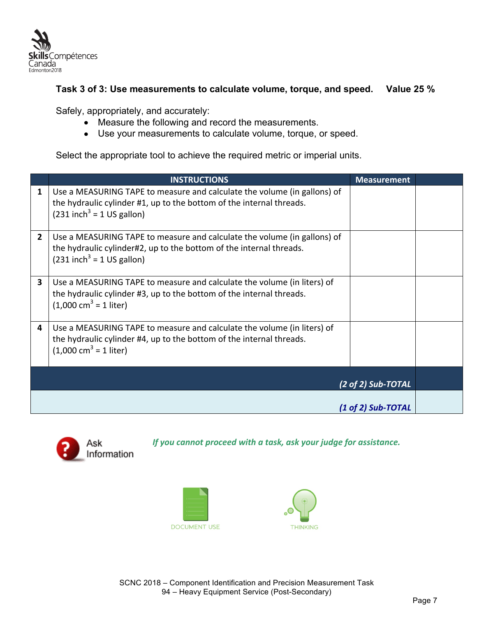

#### **Task 3 of 3: Use measurements to calculate volume, torque, and speed. Value 25 %**

Safely, appropriately, and accurately:

- Measure the following and record the measurements.
- Use your measurements to calculate volume, torque, or speed.

Select the appropriate tool to achieve the required metric or imperial units.

|                    | <b>INSTRUCTIONS</b>                                                                                                                                                                         | <b>Measurement</b> |  |
|--------------------|---------------------------------------------------------------------------------------------------------------------------------------------------------------------------------------------|--------------------|--|
| 1                  | Use a MEASURING TAPE to measure and calculate the volume (in gallons) of<br>the hydraulic cylinder #1, up to the bottom of the internal threads.<br>$(231$ inch <sup>3</sup> = 1 US gallon) |                    |  |
| $\overline{2}$     | Use a MEASURING TAPE to measure and calculate the volume (in gallons) of<br>the hydraulic cylinder#2, up to the bottom of the internal threads.<br>$(231$ inch <sup>3</sup> = 1 US gallon)  |                    |  |
| 3                  | Use a MEASURING TAPE to measure and calculate the volume (in liters) of<br>the hydraulic cylinder #3, up to the bottom of the internal threads.<br>$(1,000 \text{ cm}^3 = 1 \text{ liter})$ |                    |  |
| 4                  | Use a MEASURING TAPE to measure and calculate the volume (in liters) of<br>the hydraulic cylinder #4, up to the bottom of the internal threads.<br>$(1,000 \text{ cm}^3 = 1 \text{ liter})$ |                    |  |
| (2 of 2) Sub-TOTAL |                                                                                                                                                                                             |                    |  |
|                    |                                                                                                                                                                                             |                    |  |
|                    |                                                                                                                                                                                             | (1 of 2) Sub-TOTAL |  |



If you cannot proceed with a task, ask your judge for assistance.